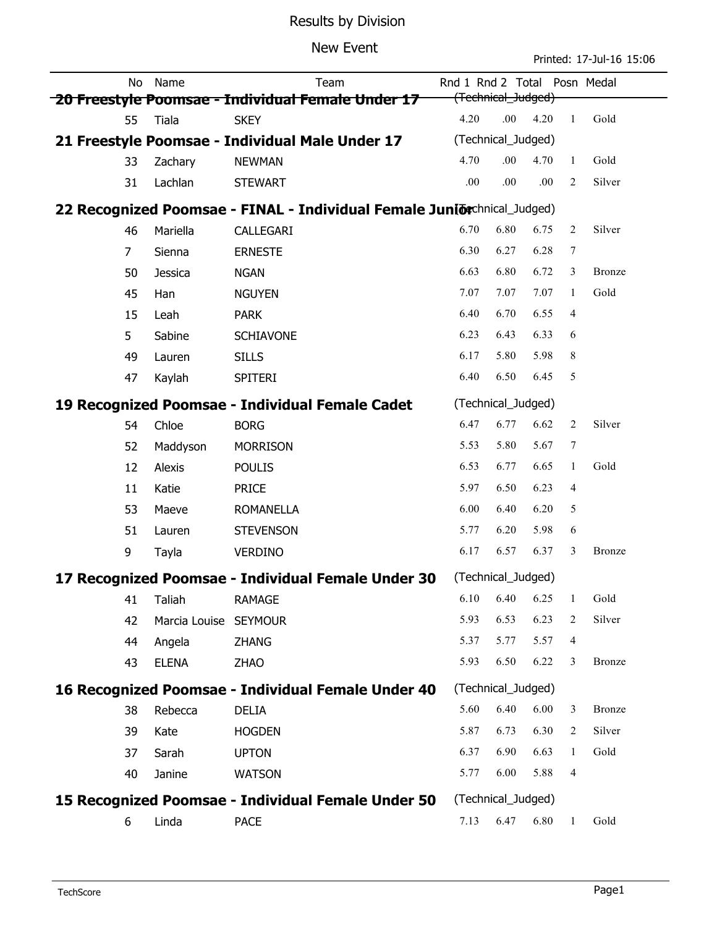# Results by Division

#### New Event

Printed: 17-Jul-16 15:06

|                                                                         | No             | Name                  | Team                                               | Rnd 1 Rnd 2 Total  |                    |      |                | Posn Medal    |  |  |
|-------------------------------------------------------------------------|----------------|-----------------------|----------------------------------------------------|--------------------|--------------------|------|----------------|---------------|--|--|
| (Technical_Judged)<br>20 Freestyle Poomsae - Individual Female Under 17 |                |                       |                                                    |                    |                    |      |                |               |  |  |
|                                                                         | 55             | Tiala                 | <b>SKEY</b>                                        | 4.20               | .00                | 4.20 | $\mathbf{1}$   | Gold          |  |  |
| 21 Freestyle Poomsae - Individual Male Under 17                         |                | (Technical_Judged)    |                                                    |                    |                    |      |                |               |  |  |
|                                                                         | 33             | Zachary               | <b>NEWMAN</b>                                      | 4.70               | .00                | 4.70 | 1              | Gold          |  |  |
|                                                                         | 31             | Lachlan               | <b>STEWART</b>                                     | .00                | .00                | .00  | 2              | Silver        |  |  |
| 22 Recognized Poomsae - FINAL - Individual Female Juniorchnical_Judged) |                |                       |                                                    |                    |                    |      |                |               |  |  |
|                                                                         | 46             | Mariella              | CALLEGARI                                          | 6.70               | 6.80               | 6.75 | 2              | Silver        |  |  |
|                                                                         | $\overline{7}$ | Sienna                | <b>ERNESTE</b>                                     | 6.30               | 6.27               | 6.28 | 7              |               |  |  |
|                                                                         | 50             | Jessica               | <b>NGAN</b>                                        | 6.63               | 6.80               | 6.72 | 3              | <b>Bronze</b> |  |  |
|                                                                         | 45             | Han                   | <b>NGUYEN</b>                                      | 7.07               | 7.07               | 7.07 | 1              | Gold          |  |  |
|                                                                         | 15             | Leah                  | <b>PARK</b>                                        | 6.40               | 6.70               | 6.55 | $\overline{4}$ |               |  |  |
|                                                                         | 5              | Sabine                | <b>SCHIAVONE</b>                                   | 6.23               | 6.43               | 6.33 | 6              |               |  |  |
|                                                                         | 49             | Lauren                | <b>SILLS</b>                                       | 6.17               | 5.80               | 5.98 | 8              |               |  |  |
|                                                                         | 47             | Kaylah                | <b>SPITERI</b>                                     | 6.40               | 6.50               | 6.45 | 5              |               |  |  |
| 19 Recognized Poomsae - Individual Female Cadet                         |                |                       |                                                    | (Technical_Judged) |                    |      |                |               |  |  |
|                                                                         | 54             | Chloe                 | <b>BORG</b>                                        | 6.47               | 6.77               | 6.62 | 2              | Silver        |  |  |
|                                                                         | 52             | Maddyson              | <b>MORRISON</b>                                    | 5.53               | 5.80               | 5.67 | 7              |               |  |  |
|                                                                         | 12             | Alexis                | <b>POULIS</b>                                      | 6.53               | 6.77               | 6.65 | $\mathbf{1}$   | Gold          |  |  |
|                                                                         | 11             | Katie                 | <b>PRICE</b>                                       | 5.97               | 6.50               | 6.23 | 4              |               |  |  |
|                                                                         | 53             | Maeve                 | <b>ROMANELLA</b>                                   | 6.00               | 6.40               | 6.20 | 5              |               |  |  |
|                                                                         | 51             | Lauren                | <b>STEVENSON</b>                                   | 5.77               | 6.20               | 5.98 | 6              |               |  |  |
|                                                                         | 9              | Tayla                 | <b>VERDINO</b>                                     | 6.17               | 6.57               | 6.37 | 3              | <b>Bronze</b> |  |  |
| 17 Recognized Poomsae - Individual Female Under 30                      |                |                       |                                                    |                    | (Technical_Judged) |      |                |               |  |  |
|                                                                         | 41             | Taliah                | <b>RAMAGE</b>                                      | 6.10               | 6.40               | 6.25 | 1              | Gold          |  |  |
|                                                                         | 42             | Marcia Louise SEYMOUR |                                                    | 5.93               | 6.53               | 6.23 | 2              | Silver        |  |  |
|                                                                         | 44             | Angela                | ZHANG                                              | 5.37               | 5.77               | 5.57 | 4              |               |  |  |
|                                                                         | 43             | <b>ELENA</b>          | <b>ZHAO</b>                                        | 5.93               | 6.50               | 6.22 | 3              | <b>Bronze</b> |  |  |
| 16 Recognized Poomsae - Individual Female Under 40                      |                |                       |                                                    |                    | (Technical_Judged) |      |                |               |  |  |
|                                                                         | 38             | Rebecca               | <b>DELIA</b>                                       | 5.60               | 6.40               | 6.00 | 3              | <b>Bronze</b> |  |  |
|                                                                         | 39             | Kate                  | <b>HOGDEN</b>                                      | 5.87               | 6.73               | 6.30 | 2              | Silver        |  |  |
|                                                                         | 37             | Sarah                 | <b>UPTON</b>                                       | 6.37               | 6.90               | 6.63 | 1              | Gold          |  |  |
|                                                                         | 40             | Janine                | <b>WATSON</b>                                      | 5.77               | 6.00               | 5.88 | $\overline{4}$ |               |  |  |
|                                                                         |                |                       | 15 Recognized Poomsae - Individual Female Under 50 |                    | (Technical_Judged) |      |                |               |  |  |
|                                                                         | 6              | Linda                 | <b>PACE</b>                                        | 7.13               | 6.47               | 6.80 | 1              | Gold          |  |  |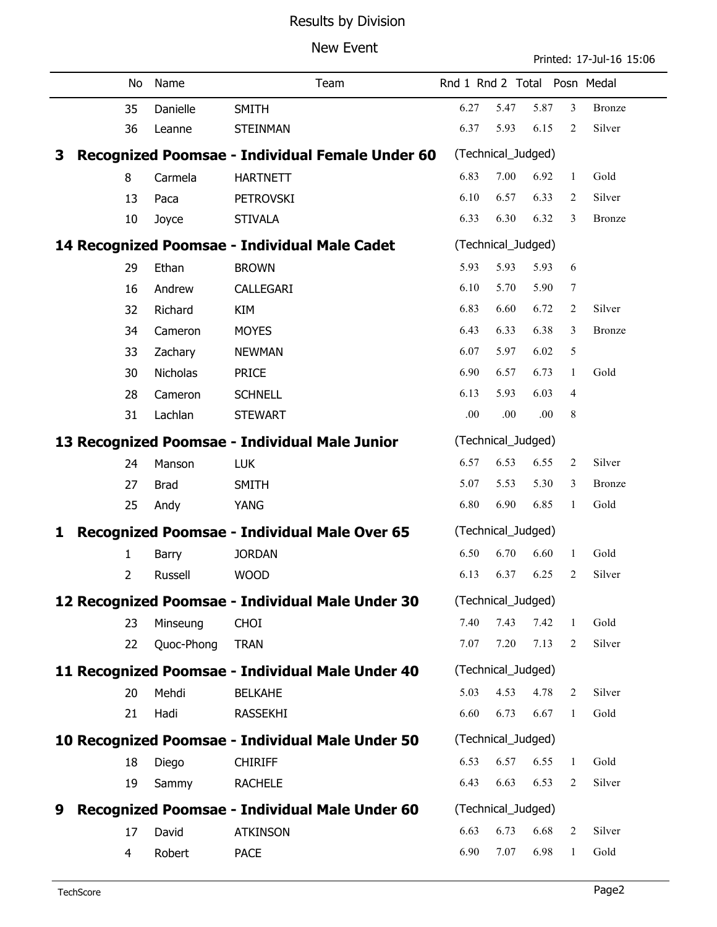# Results by Division

### New Event

Printed: 17-Jul-16 15:06

|                                                          | No                                               | Name            | Team                                           |                    | Rnd 1 Rnd 2 Total Posn Medal |      |                |               |  |  |
|----------------------------------------------------------|--------------------------------------------------|-----------------|------------------------------------------------|--------------------|------------------------------|------|----------------|---------------|--|--|
|                                                          | 35                                               | Danielle        | <b>SMITH</b>                                   | 6.27               | 5.47                         | 5.87 | 3              | <b>Bronze</b> |  |  |
|                                                          | 36                                               | Leanne          | <b>STEINMAN</b>                                | 6.37               | 5.93                         | 6.15 | 2              | Silver        |  |  |
| Recognized Poomsae - Individual Female Under 60<br>3     |                                                  |                 |                                                |                    | (Technical_Judged)           |      |                |               |  |  |
|                                                          | 8                                                | Carmela         | <b>HARTNETT</b>                                | 6.83               | 7.00                         | 6.92 | 1              | Gold          |  |  |
|                                                          | 13                                               | Paca            | <b>PETROVSKI</b>                               | 6.10               | 6.57                         | 6.33 | 2              | Silver        |  |  |
|                                                          | 10                                               | Joyce           | <b>STIVALA</b>                                 | 6.33               | 6.30                         | 6.32 | 3              | <b>Bronze</b> |  |  |
| 14 Recognized Poomsae - Individual Male Cadet            |                                                  |                 |                                                |                    | (Technical_Judged)           |      |                |               |  |  |
|                                                          | 29                                               | Ethan           | <b>BROWN</b>                                   | 5.93               | 5.93                         | 5.93 | 6              |               |  |  |
|                                                          | 16                                               | Andrew          | CALLEGARI                                      | 6.10               | 5.70                         | 5.90 | 7              |               |  |  |
|                                                          | 32                                               | Richard         | <b>KIM</b>                                     | 6.83               | 6.60                         | 6.72 | $\overline{2}$ | Silver        |  |  |
|                                                          | 34                                               | Cameron         | <b>MOYES</b>                                   | 6.43               | 6.33                         | 6.38 | 3              | <b>Bronze</b> |  |  |
|                                                          | 33                                               | Zachary         | <b>NEWMAN</b>                                  | 6.07               | 5.97                         | 6.02 | 5              |               |  |  |
|                                                          | 30                                               | <b>Nicholas</b> | <b>PRICE</b>                                   | 6.90               | 6.57                         | 6.73 | 1              | Gold          |  |  |
|                                                          | 28                                               | Cameron         | <b>SCHNELL</b>                                 | 6.13               | 5.93                         | 6.03 | 4              |               |  |  |
|                                                          | 31                                               | Lachlan         | <b>STEWART</b>                                 | .00                | .00                          | .00  | 8              |               |  |  |
|                                                          |                                                  |                 | 13 Recognized Poomsae - Individual Male Junior |                    | (Technical_Judged)           |      |                |               |  |  |
|                                                          | 24                                               | Manson          | <b>LUK</b>                                     | 6.57               | 6.53                         | 6.55 | $\overline{2}$ | Silver        |  |  |
|                                                          | 27                                               | <b>Brad</b>     | <b>SMITH</b>                                   | 5.07               | 5.53                         | 5.30 | 3              | <b>Bronze</b> |  |  |
|                                                          | 25                                               | Andy            | YANG                                           | 6.80               | 6.90                         | 6.85 | $\mathbf{1}$   | Gold          |  |  |
| <b>Recognized Poomsae - Individual Male Over 65</b><br>1 |                                                  |                 |                                                | (Technical_Judged) |                              |      |                |               |  |  |
|                                                          | 1                                                | Barry           | <b>JORDAN</b>                                  | 6.50               | 6.70                         | 6.60 | 1              | Gold          |  |  |
|                                                          | $\overline{2}$                                   | Russell         | <b>WOOD</b>                                    | 6.13               | 6.37                         | 6.25 | 2              | Silver        |  |  |
| 12 Recognized Poomsae - Individual Male Under 30         |                                                  |                 |                                                | (Technical_Judged) |                              |      |                |               |  |  |
|                                                          | 23                                               | Minseung        | <b>CHOI</b>                                    | 7.40               | 7.43                         | 7.42 | 1              | Gold          |  |  |
|                                                          | 22                                               | Quoc-Phong      | <b>TRAN</b>                                    | 7.07               | 7.20                         | 7.13 | 2              | Silver        |  |  |
| 11 Recognized Poomsae - Individual Male Under 40         |                                                  |                 |                                                |                    | (Technical_Judged)           |      |                |               |  |  |
|                                                          | 20                                               | Mehdi           | <b>BELKAHE</b>                                 | 5.03               | 4.53                         | 4.78 | 2              | Silver        |  |  |
|                                                          | 21                                               | Hadi            | <b>RASSEKHI</b>                                | 6.60               | 6.73                         | 6.67 | $\mathbf{1}$   | Gold          |  |  |
|                                                          | 10 Recognized Poomsae - Individual Male Under 50 |                 |                                                |                    | (Technical_Judged)           |      |                |               |  |  |
|                                                          | 18                                               | Diego           | <b>CHIRIFF</b>                                 | 6.53               | 6.57                         | 6.55 | 1              | Gold          |  |  |
|                                                          | 19                                               | Sammy           | <b>RACHELE</b>                                 | 6.43               | 6.63                         | 6.53 | 2              | Silver        |  |  |
| 9                                                        |                                                  |                 | Recognized Poomsae - Individual Male Under 60  |                    | (Technical_Judged)           |      |                |               |  |  |
|                                                          | 17                                               | David           | <b>ATKINSON</b>                                | 6.63               | 6.73                         | 6.68 | 2              | Silver        |  |  |
|                                                          | 4                                                | Robert          | <b>PACE</b>                                    | 6.90               | 7.07                         | 6.98 | 1              | Gold          |  |  |